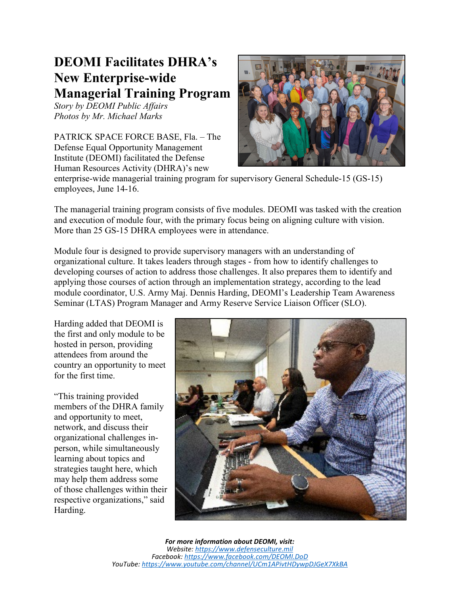## **DEOMI Facilitates DHRA's New Enterprise-wide Managerial Training Program**

*Story by DEOMI Public Affairs Photos by Mr. Michael Marks* 

PATRICK SPACE FORCE BASE, Fla. – The Defense Equal Opportunity Management Institute (DEOMI) facilitated the Defense Human Resources Activity (DHRA)'s new



enterprise-wide managerial training program for supervisory General Schedule-15 (GS-15) employees, June 14-16.

The managerial training program consists of five modules. DEOMI was tasked with the creation and execution of module four, with the primary focus being on aligning culture with vision. More than 25 GS-15 DHRA employees were in attendance.

Module four is designed to provide supervisory managers with an understanding of organizational culture. It takes leaders through stages - from how to identify challenges to developing courses of action to address those challenges. It also prepares them to identify and applying those courses of action through an implementation strategy, according to the lead module coordinator, U.S. Army Maj. Dennis Harding, DEOMI's Leadership Team Awareness Seminar (LTAS) Program Manager and Army Reserve Service Liaison Officer (SLO).

Harding added that DEOMI is the first and only module to be hosted in person, providing attendees from around the country an opportunity to meet for the first time.

"This training provided members of the DHRA family and opportunity to meet, network, and discuss their organizational challenges inperson, while simultaneously learning about topics and strategies taught here, which may help them address some of those challenges within their respective organizations," said Harding.

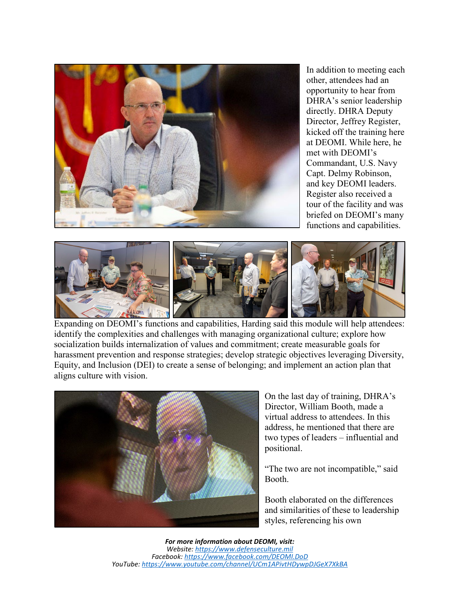

In addition to meeting each other, attendees had an opportunity to hear from DHRA's senior leadership directly. DHRA Deputy Director, Jeffrey Register, kicked off the training here at DEOMI. While here, he met with DEOMI's Commandant, U.S. Navy Capt. Delmy Robinson, and key DEOMI leaders. Register also received a tour of the facility and was briefed on DEOMI's many functions and capabilities.



Expanding on DEOMI's functions and capabilities, Harding said this module will help attendees: identify the complexities and challenges with managing organizational culture; explore how socialization builds internalization of values and commitment; create measurable goals for harassment prevention and response strategies; develop strategic objectives leveraging Diversity, Equity, and Inclusion (DEI) to create a sense of belonging; and implement an action plan that aligns culture with vision.



On the last day of training, DHRA's Director, William Booth, made a virtual address to attendees. In this address, he mentioned that there are two types of leaders – influential and positional.

"The two are not incompatible," said Booth.

Booth elaborated on the differences and similarities of these to leadership styles, referencing his own